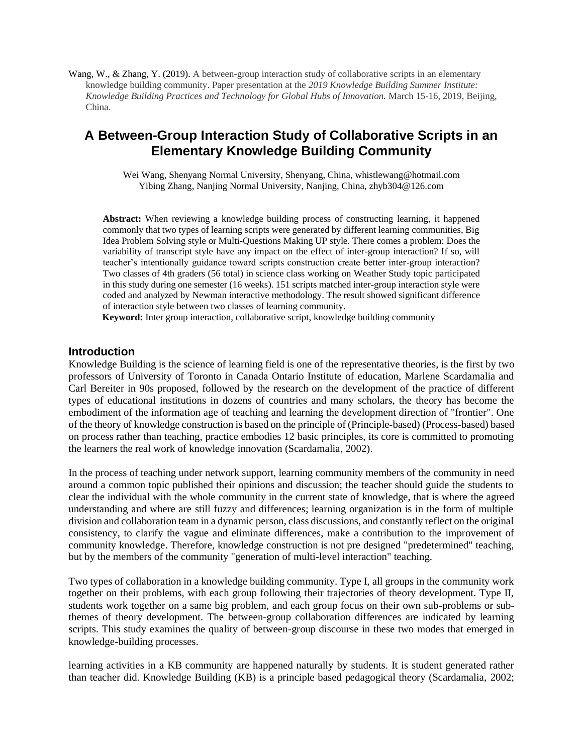Wang, W., & Zhang, Y. (2019). A between-group interaction study of collaborative scripts in an elementary knowledge building community. Paper presentation at the *2019 Knowledge Building Summer Institute: Knowledge Building Practices and Technology for Global Hubs of Innovation.* March 15-16, 2019, Beijing, China.

# **A Between-Group Interaction Study of Collaborative Scripts in an Elementary Knowledge Building Community**

Wei Wang, Shenyang Normal University, Shenyang, China, whistlewang@hotmail.com Yibing Zhang, Nanjing Normal University, Nanjing, China, zhyb304@126.com

**Abstract:** When reviewing a knowledge building process of constructing learning, it happened commonly that two types of learning scripts were generated by different learning communities, Big Idea Problem Solving style or Multi-Questions Making UP style. There comes a problem: Does the variability of transcript style have any impact on the effect of inter-group interaction? If so, will teacher's intentionally guidance toward scripts construction create better inter-group interaction? Two classes of 4th graders (56 total) in science class working on Weather Study topic participated in this study during one semester (16 weeks). 151 scripts matched inter-group interaction style were coded and analyzed by Newman interactive methodology. The result showed significant difference of interaction style between two classes of learning community.

**Keyword:** Inter group interaction, collaborative script, knowledge building community

# **Introduction**

Knowledge Building is the science of learning field is one of the representative theories, is the first by two professors of University of Toronto in Canada Ontario Institute of education, Marlene Scardamalia and Carl Bereiter in 90s proposed, followed by the research on the development of the practice of different types of educational institutions in dozens of countries and many scholars, the theory has become the embodiment of the information age of teaching and learning the development direction of "frontier". One of the theory of knowledge construction is based on the principle of (Principle-based) (Process-based) based on process rather than teaching, practice embodies 12 basic principles, its core is committed to promoting the learners the real work of knowledge innovation (Scardamalia, 2002).

In the process of teaching under network support, learning community members of the community in need around a common topic published their opinions and discussion; the teacher should guide the students to clear the individual with the whole community in the current state of knowledge, that is where the agreed understanding and where are still fuzzy and differences; learning organization is in the form of multiple division and collaboration team in a dynamic person, class discussions, and constantly reflect on the original consistency, to clarify the vague and eliminate differences, make a contribution to the improvement of community knowledge. Therefore, knowledge construction is not pre designed "predetermined" teaching, but by the members of the community "generation of multi-level interaction" teaching.

Two types of collaboration in a knowledge building community. Type I, all groups in the community work together on their problems, with each group following their trajectories of theory development. Type II, students work together on a same big problem, and each group focus on their own sub-problems or subthemes of theory development. The between-group collaboration differences are indicated by learning scripts. This study examines the quality of between-group discourse in these two modes that emerged in knowledge-building processes.

learning activities in a KB community are happened naturally by students. It is student generated rather than teacher did. Knowledge Building (KB) is a principle based pedagogical theory (Scardamalia, 2002;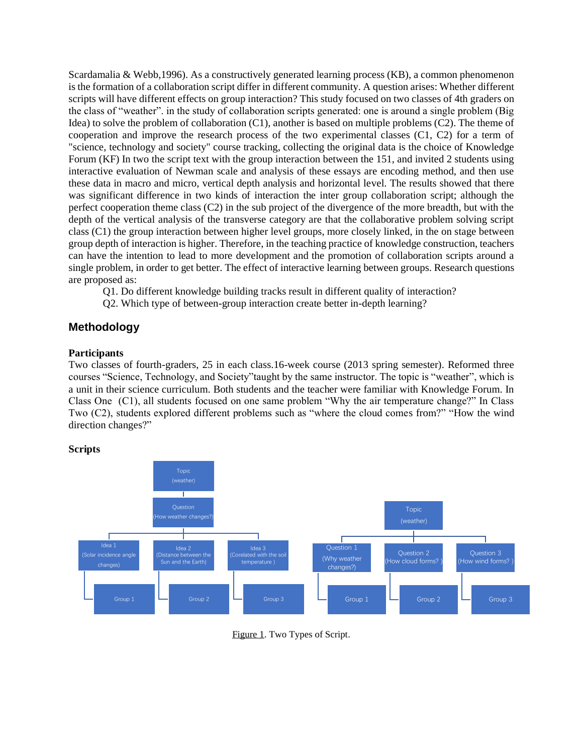Scardamalia & Webb,1996). As a constructively generated learning process (KB), a common phenomenon is the formation of a collaboration script differ in different community. A question arises: Whether different scripts will have different effects on group interaction? This study focused on two classes of 4th graders on the class of "weather". in the study of collaboration scripts generated: one is around a single problem (Big Idea) to solve the problem of collaboration (C1), another is based on multiple problems (C2). The theme of cooperation and improve the research process of the two experimental classes (C1, C2) for a term of "science, technology and society" course tracking, collecting the original data is the choice of Knowledge Forum (KF) In two the script text with the group interaction between the 151, and invited 2 students using interactive evaluation of Newman scale and analysis of these essays are encoding method, and then use these data in macro and micro, vertical depth analysis and horizontal level. The results showed that there was significant difference in two kinds of interaction the inter group collaboration script; although the perfect cooperation theme class (C2) in the sub project of the divergence of the more breadth, but with the depth of the vertical analysis of the transverse category are that the collaborative problem solving script class (C1) the group interaction between higher level groups, more closely linked, in the on stage between group depth of interaction is higher. Therefore, in the teaching practice of knowledge construction, teachers can have the intention to lead to more development and the promotion of collaboration scripts around a single problem, in order to get better. The effect of interactive learning between groups. Research questions are proposed as:

Q1. Do different knowledge building tracks result in different quality of interaction?

Q2. Which type of between-group interaction create better in-depth learning?

# **Methodology**

# **Participants**

Two classes of fourth-graders, 25 in each class.16-week course (2013 spring semester). Reformed three courses "Science, Technology, and Society"taught by the same instructor. The topic is "weather", which is a unit in their science curriculum. Both students and the teacher were familiar with Knowledge Forum. In Class One (C1), all students focused on one same problem "Why the air temperature change?" In Class Two (C2), students explored different problems such as "where the cloud comes from?" "How the wind direction changes?"

# **Scripts**



Figure 1. Two Types of Script.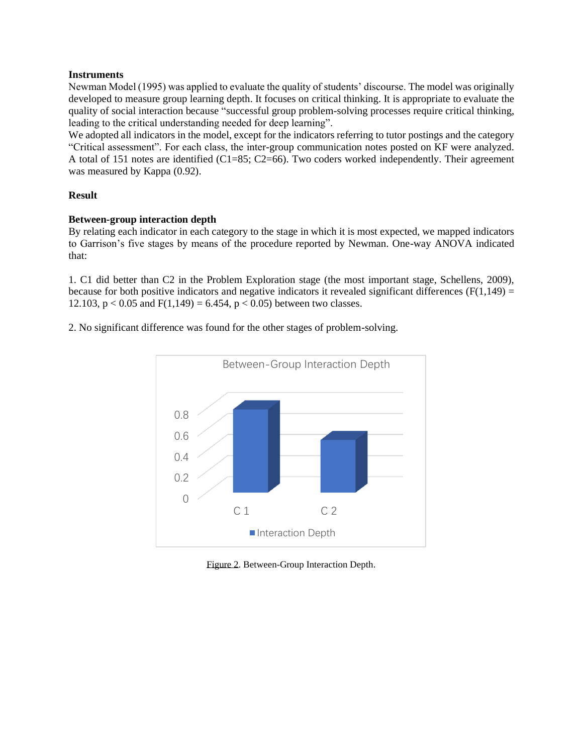#### **Instruments**

Newman Model (1995) was applied to evaluate the quality of students' discourse. The model was originally developed to measure group learning depth. It focuses on critical thinking. It is appropriate to evaluate the quality of social interaction because "successful group problem-solving processes require critical thinking, leading to the critical understanding needed for deep learning".

We adopted all indicators in the model, except for the indicators referring to tutor postings and the category "Critical assessment". For each class, the inter-group communication notes posted on KF were analyzed. A total of 151 notes are identified (C1=85; C2=66). Two coders worked independently. Their agreement was measured by Kappa  $(0.92)$ .

# **Result**

# **Between-group interaction depth**

By relating each indicator in each category to the stage in which it is most expected, we mapped indicators to Garrison's five stages by means of the procedure reported by Newman. One-way ANOVA indicated that:

1. C1 did better than C2 in the Problem Exploration stage (the most important stage, Schellens, 2009), because for both positive indicators and negative indicators it revealed significant differences ( $F(1,149) =$ 12.103,  $p < 0.05$  and  $F(1,149) = 6.454$ ,  $p < 0.05$ ) between two classes.

2. No significant difference was found for the other stages of problem-solving.



Figure 2. Between-Group Interaction Depth.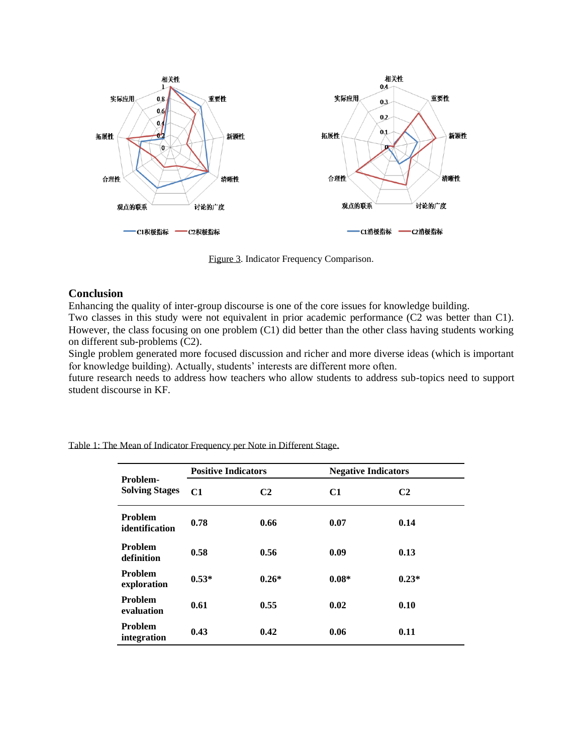

Figure 3. Indicator Frequency Comparison.

# **Conclusion**

Enhancing the quality of inter-group discourse is one of the core issues for knowledge building.

Two classes in this study were not equivalent in prior academic performance (C2 was better than C1). However, the class focusing on one problem (C1) did better than the other class having students working on different sub-problems (C2).

Single problem generated more focused discussion and richer and more diverse ideas (which is important for knowledge building). Actually, students' interests are different more often.

future research needs to address how teachers who allow students to address sub-topics need to support student discourse in KF.

| Problem-<br><b>Solving Stages</b> | <b>Positive Indicators</b> |                | <b>Negative Indicators</b> |                |
|-----------------------------------|----------------------------|----------------|----------------------------|----------------|
|                                   | C1                         | C <sub>2</sub> | C1                         | C <sub>2</sub> |
| <b>Problem</b><br>identification  | 0.78                       | 0.66           | 0.07                       | 0.14           |
| <b>Problem</b><br>definition      | 0.58                       | 0.56           | 0.09                       | 0.13           |
| <b>Problem</b><br>exploration     | $0.53*$                    | $0.26*$        | $0.08*$                    | $0.23*$        |
| <b>Problem</b><br>evaluation      | 0.61                       | 0.55           | 0.02                       | 0.10           |
| <b>Problem</b><br>integration     | 0.43                       | 0.42           | 0.06                       | 0.11           |

Table 1: The Mean of Indicator Frequency per Note in Different Stage.